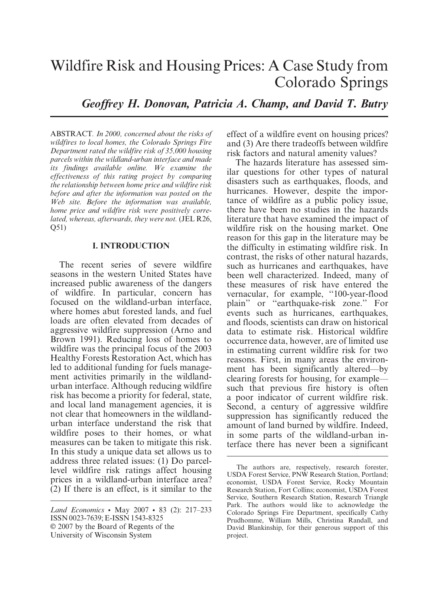# Wildfire Risk and Housing Prices: A Case Study from Colorado Springs

Geoffrey H. Donovan, Patricia A. Champ, and David T. Butry

ABSTRACT. In 2000, concerned about the risks of wildfires to local homes, the Colorado Springs Fire Department rated the wildfire risk of 35,000 housing parcels within the wildland-urban interface and made its findings available online. We examine the effectiveness of this rating project by comparing the relationship between home price and wildfire risk before and after the information was posted on the Web site. Before the information was available, home price and wildfire risk were positively correlated, whereas, afterwards, they were not. (JEL R26,  $Q51)$ 

### **I. INTRODUCTION**

The recent series of severe wildfire seasons in the western United States have increased public awareness of the dangers of wildfire. In particular, concern has focused on the wildland-urban interface. where homes abut forested lands, and fuel loads are often elevated from decades of aggressive wildfire suppression (Arno and Brown 1991). Reducing loss of homes to wildfire was the principal focus of the 2003 Healthy Forests Restoration Act, which has led to additional funding for fuels management activities primarily in the wildlandurban interface. Although reducing wildfire risk has become a priority for federal, state, and local land management agencies, it is not clear that homeowners in the wildlandurban interface understand the risk that wildfire poses to their homes, or what measures can be taken to mitigate this risk. In this study a unique data set allows us to address three related issues: (1) Do parcellevel wildfire risk ratings affect housing prices in a wildland-urban interface area? (2) If there is an effect, is it similar to the effect of a wildfire event on housing prices? and (3) Are there tradeoffs between wildfire risk factors and natural amenity values?

The hazards literature has assessed similar questions for other types of natural disasters such as earthquakes, floods, and hurricanes. However, despite the importance of wildfire as a public policy issue, there have been no studies in the hazards literature that have examined the impact of wildfire risk on the housing market. One reason for this gap in the literature may be the difficulty in estimating wildfire risk. In contrast, the risks of other natural hazards. such as hurricanes and earthquakes, have been well characterized. Indeed, many of these measures of risk have entered the vernacular, for example, "100-year-flood plain" or "earthquake-risk zone." For events such as hurricanes, earthquakes, and floods, scientists can draw on historical data to estimate risk. Historical wildfire occurrence data, however, are of limited use in estimating current wildfire risk for two reasons. First, in many areas the environment has been significantly altered—by clearing forests for housing, for example such that previous fire history is often a poor indicator of current wildfire risk. Second, a century of aggressive wildfire suppression has significantly reduced the amount of land burned by wildfire. Indeed, in some parts of the wildland-urban interface there has never been a significant

Land Economics • May 2007 • 83 (2): 217-233 ISSN 0023-7639; E-ISSN 1543-8325 © 2007 by the Board of Regents of the University of Wisconsin System

The authors are, respectively, research forester, USDA Forest Service, PNW Research Station, Portland; economist, USDA Forest Service, Rocky Mountain Research Station, Fort Collins; economist, USDA Forest Service, Southern Research Station, Research Triangle Park. The authors would like to acknowledge the Colorado Springs Fire Department, specifically Cathy Prudhomme, William Mills, Christina Randall, and David Blankinship, for their generous support of this project.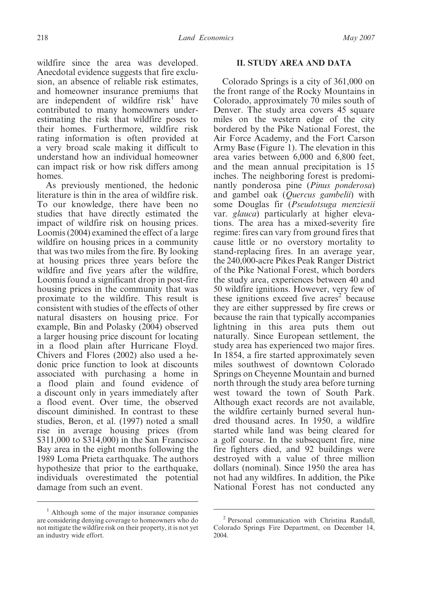wildfire since the area was developed. Anecdotal evidence suggests that fire exclusion, an absence of reliable risk estimates. and homeowner insurance premiums that are independent of wildfire risk have contributed to many homeowners underestimating the risk that wildfire poses to their homes. Furthermore, wildfire risk rating information is often provided at a very broad scale making it difficult to understand how an individual homeowner can impact risk or how risk differs among homes.

As previously mentioned, the hedonic literature is thin in the area of wildfire risk. To our knowledge, there have been no studies that have directly estimated the impact of wildfire risk on housing prices. Loomis (2004) examined the effect of a large wildfire on housing prices in a community that was two miles from the fire. By looking at housing prices three years before the wildfire and five years after the wildfire, Loomis found a significant drop in post-fire housing prices in the community that was proximate to the wildfire. This result is consistent with studies of the effects of other natural disasters on housing price. For example, Bin and Polasky (2004) observed a larger housing price discount for locating in a flood plain after Hurricane Floyd. Chivers and Flores (2002) also used a hedonic price function to look at discounts associated with purchasing a home in a flood plain and found evidence of a discount only in years immediately after a flood event. Over time, the observed discount diminished. In contrast to these studies, Beron, et al. (1997) noted a small rise in average housing prices (from \$311,000 to \$314,000) in the San Francisco Bay area in the eight months following the 1989 Loma Prieta earthquake. The authors hypothesize that prior to the earthquake, individuals overestimated the potential damage from such an event.

### **II. STUDY AREA AND DATA**

Colorado Springs is a city of 361,000 on the front range of the Rocky Mountains in Colorado, approximately 70 miles south of Denver. The study area covers 45 square miles on the western edge of the city bordered by the Pike National Forest, the Air Force Academy, and the Fort Carson Army Base (Figure 1). The elevation in this area varies between 6,000 and 6,800 feet, and the mean annual precipitation is 15 inches. The neighboring forest is predominantly ponderosa pine (Pinus ponderosa) and gambel oak (Quercus gambelii) with some Douglas fir (Pseudotsuga menziesii var. *glauca*) particularly at higher elevations. The area has a mixed-severity fire regime: fires can vary from ground fires that cause little or no overstory mortality to stand-replacing fires. In an average year, the 240,000-acre Pikes Peak Ranger District of the Pike National Forest, which borders the study area, experiences between 40 and 50 wildfire ignitions. However, very few of these ignitions exceed five acres<sup>2</sup> because they are either suppressed by fire crews or because the rain that typically accompanies lightning in this area puts them out naturally. Since European settlement, the study area has experienced two major fires. In 1854, a fire started approximately seven miles southwest of downtown Colorado Springs on Cheyenne Mountain and burned north through the study area before turning west toward the town of South Park. Although exact records are not available, the wildfire certainly burned several hundred thousand acres. In 1950, a wildfire started while land was being cleared for a golf course. In the subsequent fire, nine fire fighters died, and 92 buildings were destroyed with a value of three million dollars (nominal). Since 1950 the area has not had any wildfires. In addition, the Pike National Forest has not conducted any

<sup>&</sup>lt;sup>1</sup> Although some of the major insurance companies are considering denying coverage to homeowners who do not mitigate the wildfire risk on their property, it is not yet an industry wide effort.

<sup>&</sup>lt;sup>2</sup> Personal communication with Christina Randall, Colorado Springs Fire Department, on December 14, 2004.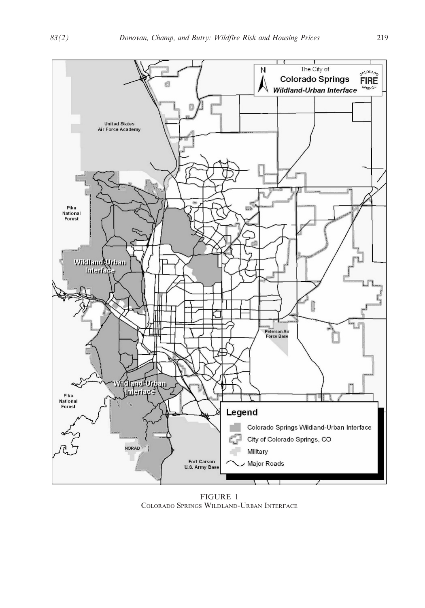

FIGURE 1 COLORADO SPRINGS WILDLAND-URBAN INTERFACE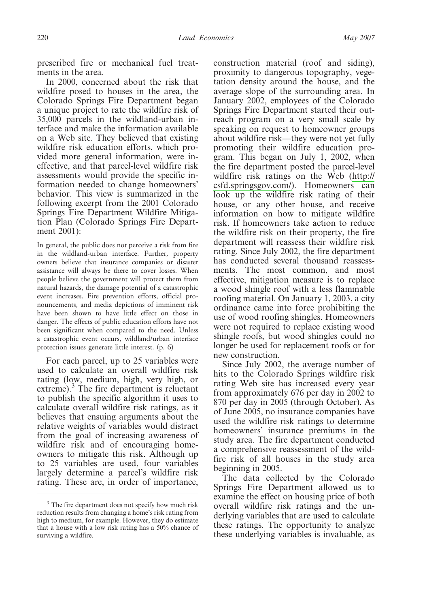prescribed fire or mechanical fuel treatments in the area.

In 2000, concerned about the risk that wildfire posed to houses in the area, the Colorado Springs Fire Department began a unique project to rate the wildfire risk of 35,000 parcels in the wildland-urban interface and make the information available on a Web site. They believed that existing wildfire risk education efforts, which provided more general information, were ineffective, and that parcel-level wildfire risk assessments would provide the specific information needed to change homeowners' behavior. This view is summarized in the following excerpt from the 2001 Colorado Springs Fire Department Wildfire Mitigation Plan (Colorado Springs Fire Department 2001):

In general, the public does not perceive a risk from fire in the wildland-urban interface. Further, property owners believe that insurance companies or disaster assistance will always be there to cover losses. When people believe the government will protect them from natural hazards, the damage potential of a catastrophic event increases. Fire prevention efforts, official pronouncements, and media depictions of imminent risk have been shown to have little effect on those in danger. The effects of public education efforts have not been significant when compared to the need. Unless a catastrophic event occurs, wildland/urban interface protection issues generate little interest. (p. 6)

For each parcel, up to 25 variables were used to calculate an overall wildfire risk rating (low, medium, high, very high, or extreme). $3$  The fire department is reluctant to publish the specific algorithm it uses to calculate overall wildfire risk ratings, as it believes that ensuing arguments about the relative weights of variables would distract from the goal of increasing awareness of wildfire risk and of encouraging homeowners to mitigate this risk. Although up to 25 variables are used, four variables largely determine a parcel's wildfire risk rating. These are, in order of importance, construction material (roof and siding), proximity to dangerous topography, vegetation density around the house, and the average slope of the surrounding area. In January 2002, employees of the Colorado Springs Fire Department started their outreach program on a very small scale by speaking on request to homeowner groups about wildfire risk—they were not yet fully promoting their wildfire education program. This began on July 1, 2002, when the fire department posted the parcel-level wildfire risk ratings on the Web (http:// csfd.springsgov.com/). Homeowners can look up the wildfire risk rating of their house, or any other house, and receive information on how to mitigate wildfire risk. If homeowners take action to reduce the wildfire risk on their property, the fire department will reassess their wildfire risk rating. Since July 2002, the fire department has conducted several thousand reassessments. The most common, and most effective, mitigation measure is to replace a wood shingle roof with a less flammable roofing material. On January 1, 2003, a city ordinance came into force prohibiting the use of wood roofing shingles. Homeowners were not required to replace existing wood shingle roofs, but wood shingles could no longer be used for replacement roofs or for new construction.

Since July 2002, the average number of hits to the Colorado Springs wildfire risk rating Web site has increased every year from approximately 676 per day in 2002 to 870 per day in 2005 (through October). As of June 2005, no insurance companies have used the wildfire risk ratings to determine homeowners' insurance premiums in the study area. The fire department conducted a comprehensive reassessment of the wildfire risk of all houses in the study area beginning in 2005.

The data collected by the Colorado Springs Fire Department allowed us to examine the effect on housing price of both overall wildfire risk ratings and the underlying variables that are used to calculate these ratings. The opportunity to analyze these underlying variables is invaluable, as

<sup>&</sup>lt;sup>3</sup> The fire department does not specify how much risk reduction results from changing a home's risk rating from high to medium, for example. However, they do estimate that a house with a low risk rating has a 50% chance of surviving a wildfire.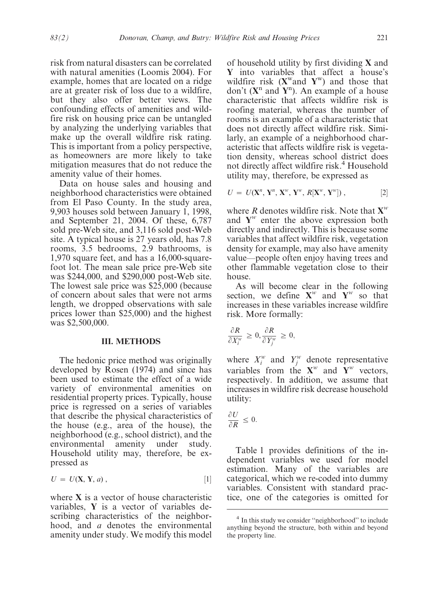risk from natural disasters can be correlated with natural amenities (Loomis 2004). For example, homes that are located on a ridge are at greater risk of loss due to a wildfire. but they also offer better views. The confounding effects of amenities and wildfire risk on housing price can be untangled by analyzing the underlying variables that make up the overall wildfire risk rating. This is important from a policy perspective, as homeowners are more likely to take mitigation measures that do not reduce the amenity value of their homes.

Data on house sales and housing and neighborhood characteristics were obtained from El Paso County. In the study area, 9,903 houses sold between January 1, 1998, and September 21, 2004. Of these, 6,787 sold pre-Web site, and 3,116 sold post-Web site. A typical house is 27 years old, has 7.8 rooms, 3.5 bedrooms, 2.9 bathrooms, is 1,970 square feet, and has a 16,000-squarefoot lot. The mean sale price pre-Web site was \$244,000, and \$290,000 post-Web site. The lowest sale price was \$25,000 (because of concern about sales that were not arms length, we dropped observations with sale prices lower than \$25,000) and the highest was \$2,500,000.

### **III. METHODS**

The hedonic price method was originally developed by Rosen (1974) and since has been used to estimate the effect of a wide variety of environmental amenities on residential property prices. Typically, house price is regressed on a series of variables that describe the physical characteristics of the house (e.g., area of the house), the neighborhood (e.g., school district), and the environmental amenity under study. Household utility may, therefore, be expressed as

$$
U = U(\mathbf{X}, \mathbf{Y}, a), \tag{1}
$$

where  $X$  is a vector of house characteristic variables, Y is a vector of variables describing characteristics of the neighborhood, and *a* denotes the environmental amenity under study. We modify this model

of household utility by first dividing  $X$  and Y into variables that affect a house's wildfire risk  $(X^w$  and  $Y^w$  and those that don't ( $X^n$  and  $Y^n$ ). An example of a house characteristic that affects wildfire risk is roofing material, whereas the number of rooms is an example of a characteristic that does not directly affect wildfire risk. Similarly, an example of a neighborhood characteristic that affects wildfire risk is vegetation density, whereas school district does not directly affect wildfire risk.<sup>4</sup> Household utility may, therefore, be expressed as

$$
U = U(\mathbf{X}^n, \mathbf{Y}^n, \mathbf{X}^w, \mathbf{Y}^w, R[\mathbf{X}^w, \mathbf{Y}^w]), \qquad [2]
$$

where R denotes wildfire risk. Note that  $X^w$ and  $Y^w$  enter the above expression both directly and indirectly. This is because some variables that affect wildfire risk, vegetation density for example, may also have amenity value—people often enjoy having trees and other flammable vegetation close to their house.

As will become clear in the following section, we define  $X^w$  and  $Y^w$  so that increases in these variables increase wildfire risk. More formally:

$$
\frac{\partial R}{\partial X_i^w} \ge 0, \frac{\partial R}{\partial Y_i^w} \ge 0,
$$

where  $X_i^w$  and  $Y_j^w$  denote representative<br>variables from the  $X^w$  and  $Y^w$  vectors, respectively. In addition, we assume that increases in wildfire risk decrease household utility:

$$
\frac{\partial U}{\partial R} \leq 0.
$$

Table 1 provides definitions of the independent variables we used for model estimation. Many of the variables are categorical, which we re-coded into dummy variables. Consistent with standard practice, one of the categories is omitted for

<sup>&</sup>lt;sup>4</sup> In this study we consider "neighborhood" to include anything beyond the structure, both within and beyond the property line.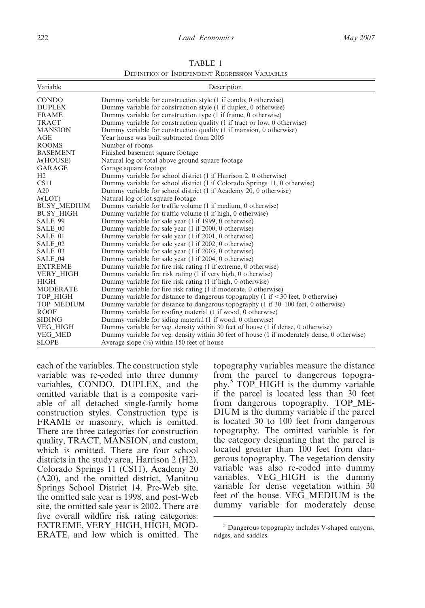**DEFINITION OF INDEPENDENT REGRESSION VARIABLES** 

| Variable           | Description                                                                                                    |
|--------------------|----------------------------------------------------------------------------------------------------------------|
| <b>CONDO</b>       | Dummy variable for construction style (1 if condo, 0 otherwise)                                                |
| <b>DUPLEX</b>      | Dummy variable for construction style (1 if duplex, 0 otherwise)                                               |
| <b>FRAME</b>       | Dummy variable for construction type (1 if frame, 0 otherwise)                                                 |
| <b>TRACT</b>       | Dummy variable for construction quality (1 if tract or low, 0 otherwise)                                       |
| <b>MANSION</b>     | Dummy variable for construction quality (1 if mansion, 0 otherwise)                                            |
| AGE                | Year house was built subtracted from 2005                                                                      |
| <b>ROOMS</b>       | Number of rooms                                                                                                |
| <b>BASEMENT</b>    | Finished basement square footage                                                                               |
| ln(HOUSE)          | Natural log of total above ground square footage                                                               |
| <b>GARAGE</b>      | Garage square footage                                                                                          |
| H <sub>2</sub>     | Dummy variable for school district (1 if Harrison 2, 0 otherwise)                                              |
| CS11               | Dummy variable for school district (1 if Colorado Springs 11, 0 otherwise)                                     |
| A20                | Dummy variable for school district (1 if Academy 20, 0 otherwise)                                              |
| ln(LOT)            | Natural log of lot square footage                                                                              |
| <b>BUSY MEDIUM</b> | Dummy variable for traffic volume (1 if medium, 0 otherwise)                                                   |
| <b>BUSY HIGH</b>   | Dummy variable for traffic volume (1 if high, 0 otherwise)                                                     |
| SALE 99            | Dummy variable for sale year (1 if 1999, 0 otherwise)                                                          |
| SALE_00            | Dummy variable for sale year (1 if 2000, 0 otherwise)                                                          |
| SALE 01            | Dummy variable for sale year (1 if 2001, 0 otherwise)                                                          |
| SALE 02            | Dummy variable for sale year (1 if 2002, 0 otherwise)                                                          |
| SALE 03            | Dummy variable for sale year (1 if 2003, 0 otherwise)                                                          |
| SALE 04            | Dummy variable for sale year (1 if 2004, 0 otherwise)                                                          |
| <b>EXTREME</b>     | Dummy variable for fire risk rating (1 if extreme, 0 otherwise)                                                |
| <b>VERY HIGH</b>   | Dummy variable fire risk rating (1 if very high, 0 otherwise)                                                  |
| <b>HIGH</b>        | Dummy variable for fire risk rating (1 if high, 0 otherwise)                                                   |
| <b>MODERATE</b>    | Dummy variable for fire risk rating (1 if moderate, 0 otherwise)                                               |
| TOP_HIGH           | Dummy variable for distance to dangerous topography $(1 \text{ if } < 30 \text{ feet}, 0 \text{ otherwise})$   |
| TOP MEDIUM         | Dummy variable for distance to dangerous topography $(1 \text{ if } 30-100 \text{ feet}, 0 \text{ otherwise})$ |
| <b>ROOF</b>        | Dummy variable for roofing material (1 if wood, 0 otherwise)                                                   |
| <b>SIDING</b>      | Dummy variable for siding material (1 if wood, 0 otherwise)                                                    |
| <b>VEG HIGH</b>    | Dummy variable for veg. density within 30 feet of house (1 if dense, 0 otherwise)                              |
| <b>VEG MED</b>     | Dummy variable for veg. density within 30 feet of house (1 if moderately dense, 0 otherwise)                   |
| <b>SLOPE</b>       | Average slope $(\%)$ within 150 feet of house                                                                  |

each of the variables. The construction style variable was re-coded into three dummy variables, CONDO, DUPLEX, and the omitted variable that is a composite variable of all detached single-family home construction styles. Construction type is FRAME or masonry, which is omitted. There are three categories for construction quality, TRACT, MANSION, and custom. which is omitted. There are four school districts in the study area, Harrison 2 (H2), Colorado Springs 11 (CS11), Academy 20 (A20), and the omitted district, Manitou Springs School District 14. Pre-Web site, the omitted sale year is 1998, and post-Web site, the omitted sale year is 2002. There are five overall wildfire risk rating categories: EXTREME, VERY\_HIGH, HIGH, MOD-ERATE, and low which is omitted. The topography variables measure the distance from the parcel to dangerous topography.<sup>5</sup> TOP\_HIGH is the dummy variable if the parcel is located less than 30 feet from dangerous topography. TOP\_ME-DIUM is the dummy variable if the parcel is located 30 to 100 feet from dangerous topography. The omitted variable is for the category designating that the parcel is located greater than 100 feet from dangerous topography. The vegetation density variable was also re-coded into dummy variables. VEG HIGH is the dummy variable for dense vegetation within 30 feet of the house. VEG\_MEDIUM is the dummy variable for moderately dense

<sup>&</sup>lt;sup>5</sup> Dangerous topography includes V-shaped canyons. ridges, and saddles.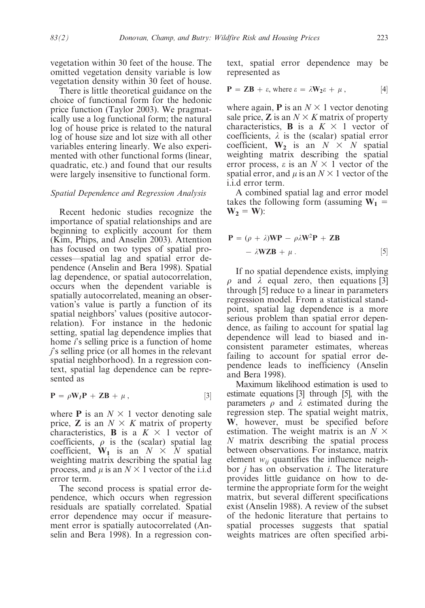vegetation density within 30 feet of house. There is little theoretical guidance on the choice of functional form for the hedonic price function (Taylor 2003). We pragmatically use a log functional form; the natural log of house price is related to the natural log of house size and lot size with all other variables entering linearly. We also experimented with other functional forms (linear, quadratic, etc.) and found that our results were largely insensitive to functional form.

### Spatial Dependence and Regression Analysis

Recent hedonic studies recognize the importance of spatial relationships and are beginning to explicitly account for them (Kim, Phips, and Anselin 2003). Attention has focused on two types of spatial processes—spatial lag and spatial error dependence (Anselin and Bera 1998). Spatial lag dependence, or spatial autocorrelation, occurs when the dependent variable is spatially autocorrelated, meaning an observation's value is partly a function of its spatial neighbors' values (positive autocorrelation). For instance in the hedonic setting, spatial lag dependence implies that home *i*'s selling price is a function of home  $\vec{l}$ 's selling price (or all homes in the relevant spatial neighborhood). In a regression context, spatial lag dependence can be represented as

$$
\mathbf{P} = \rho \mathbf{W}_I \mathbf{P} + \mathbf{Z} \mathbf{B} + \mu \,, \tag{3}
$$

where **P** is an  $N \times 1$  vector denoting sale price, **Z** is an  $N \times K$  matrix of property characteristics, **B** is a  $K \times 1$  vector of coefficients,  $\rho$  is the (scalar) spatial lag coefficient,  $W_1$  is an  $N \times N$  spatial weighting matrix describing the spatial lag process, and  $\mu$  is an  $N \times 1$  vector of the i.i.d error term.

The second process is spatial error dependence, which occurs when regression residuals are spatially correlated. Spatial error dependence may occur if measurement error is spatially autocorrelated (Anselin and Bera 1998). In a regression context, spatial error dependence may be represented as

$$
\mathbf{P} = \mathbf{Z}\mathbf{B} + \varepsilon, \text{ where } \varepsilon = \lambda \mathbf{W}_2 \varepsilon + \mu, \tag{4}
$$

where again, **P** is an  $N \times 1$  vector denoting sale price, **Z** is an  $N \times K$  matrix of property characteristics, **B** is a  $K \times 1$  vector of coefficients,  $\lambda$  is the (scalar) spatial error coefficient,  $W_2$  is an  $N \times N$  spatial weighting matrix describing the spatial error process,  $\varepsilon$  is an  $N \times 1$  vector of the spatial error, and  $\mu$  is an  $N \times 1$  vector of the i.i.d error term.

A combined spatial lag and error model takes the following form (assuming  $W_1$  =  $W_2 = W$ :

$$
\mathbf{P} = (\rho + \lambda)\mathbf{W}\mathbf{P} - \rho\lambda\mathbf{W}^2\mathbf{P} + \mathbf{Z}\mathbf{B}
$$

$$
- \lambda\mathbf{W}\mathbf{Z}\mathbf{B} + \mu.
$$
 [5]

If no spatial dependence exists, implying  $\rho$  and  $\lambda$  equal zero, then equations [3] through [5] reduce to a linear in parameters regression model. From a statistical standpoint, spatial lag dependence is a more serious problem than spatial error dependence, as failing to account for spatial lag dependence will lead to biased and inconsistent parameter estimates, whereas failing to account for spatial error dependence leads to inefficiency (Anselin and Bera 1998).

Maximum likelihood estimation is used to estimate equations [3] through [5], with the parameters  $\rho$  and  $\lambda$  estimated during the regression step. The spatial weight matrix, W, however, must be specified before estimation. The weight matrix is an  $N \times$ N matrix describing the spatial process between observations. For instance, matrix element  $w_{ii}$  quantifies the influence neighbor  $j$  has on observation  $i$ . The literature provides little guidance on how to determine the appropriate form for the weight matrix, but several different specifications exist (Anselin 1988). A review of the subset of the hedonic literature that pertains to spatial processes suggests that spatial weights matrices are often specified arbi-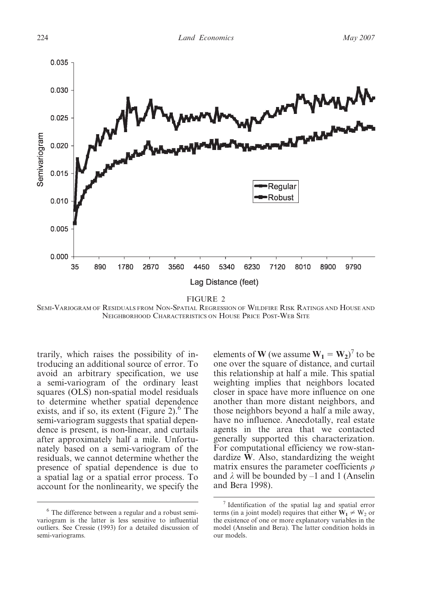

FIGURE 2

SEMI-VARIOGRAM OF RESIDUALS FROM NON-SPATIAL REGRESSION OF WILDFIRE RISK RATINGS AND HOUSE AND NEIGHBORHOOD CHARACTERISTICS ON HOUSE PRICE POST-WER SITE

trarily, which raises the possibility of introducing an additional source of error. To avoid an arbitrary specification, we use a semi-variogram of the ordinary least squares (OLS) non-spatial model residuals to determine whether spatial dependence exists, and if so, its extent (Figure 2).<sup>6</sup> The semi-variogram suggests that spatial dependence is present, is non-linear, and curtails after approximately half a mile. Unfortunately based on a semi-variogram of the residuals, we cannot determine whether the presence of spatial dependence is due to a spatial lag or a spatial error process. To account for the nonlinearity, we specify the elements of **W** (we assume  $W_1 = W_2$ )<sup>7</sup> to be one over the square of distance, and curtail this relationship at half a mile. This spatial weighting implies that neighbors located closer in space have more influence on one another than more distant neighbors, and those neighbors beyond a half a mile away, have no influence. Anecdotally, real estate agents in the area that we contacted generally supported this characterization. For computational efficiency we row-standardize W. Also, standardizing the weight matrix ensures the parameter coefficients  $\rho$ and  $\lambda$  will be bounded by  $-1$  and 1 (Anselin and Bera 1998).

 $6$  The difference between a regular and a robust semivariogram is the latter is less sensitive to influential outliers. See Cressie (1993) for a detailed discussion of semi-variograms.

<sup>&</sup>lt;sup>7</sup> Identification of the spatial lag and spatial error terms (in a joint model) requires that either  $W_1 \neq W_2$  or the existence of one or more explanatory variables in the model (Anselin and Bera). The latter condition holds in our models.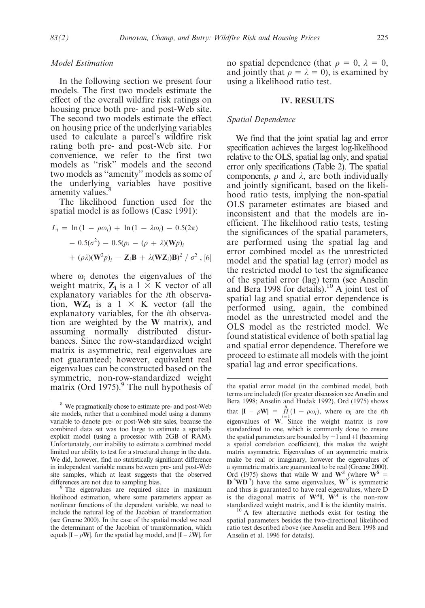$83(2)$ 

In the following section we present four models. The first two models estimate the effect of the overall wildfire risk ratings on housing price both pre- and post-Web site. The second two models estimate the effect on housing price of the underlying variables used to calculate a parcel's wildfire risk rating both pre- and post-Web site. For convenience, we refer to the first two models as "risk" models and the second two models as "amenity" models as some of the underlying variables have positive amenity values.

The likelihood function used for the spatial model is as follows (Case 1991):

$$
L_i = \ln(1 - \rho \omega_i) + \ln(1 - \lambda \omega_i) - 0.5(2\pi)
$$
  
- 0.5( $\sigma^2$ ) - 0.5( $p_i$  - ( $\rho$  +  $\lambda$ )(W $p$ )<sub>i</sub>  
+ ( $\rho \lambda$ )(W<sup>2</sup> $p$ )<sub>i</sub> - **Z**<sub>i</sub>**B** +  $\lambda$ (W**Z**<sub>i</sub>)**B**)<sup>2</sup> /  $\sigma^2$ , [6]

where  $\omega_i$  denotes the eigenvalues of the weight matrix,  $\mathbf{Z}_i$  is a  $1 \times K$  vector of all explanatory variables for the *i*th observation,  $WZ_i$  is a 1 × K vector (all the explanatory variables, for the *i*th observation are weighted by the W matrix), and assuming normally distributed disturbances. Since the row-standardized weight matrix is asymmetric, real eigenvalues are not guaranteed; however, equivalent real eigenvalues can be constructed based on the symmetric, non-row-standardized weight matrix (Ord 1975).<sup>9</sup> The null hypothesis of

<sup>9</sup> The eigenvalues are required since in maximum likelihood estimation, where some parameters appear as nonlinear functions of the dependent variable, we need to include the natural log of the Jacobian of transformation (see Greene 2000). In the case of the spatial model we need the determinant of the Jacobian of transformation, which equals  $[I - \rho W]$ , for the spatial lag model, and  $[I - \lambda W]$ , for

no spatial dependence (that  $\rho = 0$ ,  $\lambda = 0$ , and jointly that  $\rho = \lambda = 0$ ), is examined by using a likelihood ratio test.

### **IV. RESULTS**

### *Spatial Dependence*

We find that the joint spatial lag and error specification achieves the largest log-likelihood relative to the OLS, spatial lag only, and spatial error only specifications (Table 2). The spatial components,  $\rho$  and  $\lambda$ , are both individually and jointly significant, based on the likelihood ratio tests, implying the non-spatial OLS parameter estimates are biased and inconsistent and that the models are inefficient. The likelihood ratio tests, testing the significances of the spatial parameters, are performed using the spatial lag and error combined model as the unrestricted model and the spatial lag (error) model as the restricted model to test the significance of the spatial error (lag) term (see Anselin and Bera 1998 for details).<sup>10</sup> A joint test of spatial lag and spatial error dependence is performed using, again, the combined model as the unrestricted model and the OLS model as the restricted model. We found statistical evidence of both spatial lag and spatial error dependence. Therefore we proceed to estimate all models with the joint spatial lag and error specifications.

the spatial error model (in the combined model, both terms are included) (for greater discussion see Anselin and Bera 1998; Anselin and Hudak 1992). Ord (1975) shows that  $|I - \rho W| = \Pi (1 - \rho \omega_i)$ , where  $\omega_i$  are the *i*th eigenvalues of **W**. Since the weight matrix is row standardized to one, which is commonly done to ensure the spatial parameters are bounded by  $-1$  and  $+1$  (becoming a spatial correlation coefficient), this makes the weight matrix asymmetric. Eigenvalues of an asymmetric matrix make be real or imaginary, however the eigenvalues of a symmetric matrix are guaranteed to be real (Greene 2000). Ord (1975) shows that while W and  $W^S$  (where  $W^S =$  $\mathbf{D}^{\text{-5}}\mathbf{W}\mathbf{D}^{\text{-5}}$  have the same eigenvalues,  $\mathbf{W}^{\text{-5}}$  is symmetric and thus is guaranteed to have real eigenvalues, where D is the diagonal matrix of  $W^A I$ ,  $W^A$  is the non-row standardized weight matrix, and I is the identity matrix.

<sup>10</sup> A few alternative methods exist for testing the spatial parameters besides the two-directional likelihood ratio test described above (see Anselin and Bera 1998 and Anselin et al. 1996 for details).

<sup>&</sup>lt;sup>8</sup> We pragmatically chose to estimate pre- and post-Web site models, rather that a combined model using a dummy variable to denote pre- or post-Web site sales, because the combined data set was too large to estimate a spatially explicit model (using a processor with 2GB of RAM). Unfortunately, our inability to estimate a combined model limited our ability to test for a structural change in the data. We did, however, find no statistically significant difference in independent variable means between pre- and post-Web site samples, which at least suggests that the observed differences are not due to sampling bias.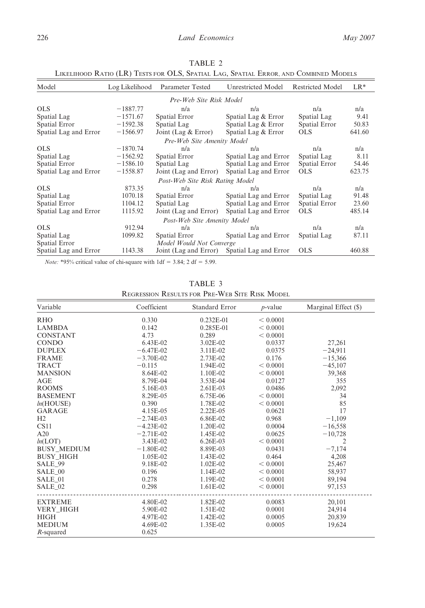| $(21)$ there is on $\sigma$ belong britished britished britished. |                |                            |                                             |                  |        |  |  |
|-------------------------------------------------------------------|----------------|----------------------------|---------------------------------------------|------------------|--------|--|--|
| Model                                                             | Log Likelihood | Parameter Tested           | Unrestricted Model                          | Restricted Model | $LR^*$ |  |  |
| Pre-Web Site Risk Model                                           |                |                            |                                             |                  |        |  |  |
| <b>OLS</b>                                                        | $-1887.77$     | n/a                        | n/a                                         | n/a              | n/a    |  |  |
| Spatial Lag                                                       | $-1571.67$     | Spatial Error              | Spatial Lag & Error                         | Spatial Lag      | 9.41   |  |  |
| Spatial Error                                                     | $-1592.38$     | Spatial Lag                | Spatial Lag & Error                         | Spatial Error    | 50.83  |  |  |
| Spatial Lag and Error                                             | $-1566.97$     | Joint (Lag $& Error$ )     | Spatial Lag & Error                         | OLS.             | 641.60 |  |  |
|                                                                   |                | Pre-Web Site Amenity Model |                                             |                  |        |  |  |
| <b>OLS</b>                                                        | $-1870.74$     | n/a                        | n/a                                         | n/a              | n/a    |  |  |
| Spatial Lag                                                       | $-1562.92$     | Spatial Error              | Spatial Lag and Error                       | Spatial Lag      | 8.11   |  |  |
| Spatial Error                                                     | $-1586.10$     | Spatial Lag                | Spatial Lag and Error                       | Spatial Error    | 54.46  |  |  |
| Spatial Lag and Error                                             | $-1558.87$     | Joint (Lag and Error)      | Spatial Lag and Error                       | OLS.             | 623.75 |  |  |
| Post-Web Site Risk Rating Model                                   |                |                            |                                             |                  |        |  |  |
| <b>OLS</b>                                                        | 873.35         | n/a                        | n/a                                         | n/a              | n/a    |  |  |
| Spatial Lag                                                       | 1070.18        | Spatial Error              | Spatial Lag and Error                       | Spatial Lag      | 91.48  |  |  |
| Spatial Error                                                     | 1104.12        | Spatial Lag                | Spatial Lag and Error                       | Spatial Error    | 23.60  |  |  |
| Spatial Lag and Error                                             | 1115.92        |                            | Joint (Lag and Error) Spatial Lag and Error | <b>OLS</b>       | 485.14 |  |  |
| Post-Web Site Amenity Model                                       |                |                            |                                             |                  |        |  |  |
| <b>OLS</b>                                                        | 912.94         | n/a                        | n/a                                         | n/a              | n/a    |  |  |
| Spatial Lag                                                       | 1099.82        |                            | Spatial Error Spatial Lag and Error         | Spatial Lag      | 87.11  |  |  |
| Spatial Error                                                     |                | Model Would Not Converge   |                                             |                  |        |  |  |
| Spatial Lag and Error                                             | 1143.38        |                            | Joint (Lag and Error) Spatial Lag and Error | <b>OLS</b>       | 460.88 |  |  |

TABLE 2

## LIKELIHOOD RATIO (LR) TESTS FOR OLS, SPATIAL LAG, SPATIAL ERROR, AND COMBINED MODELS

*Note:* \*95% critical value of chi-square with  $1df = 3.84$ ;  $2 df = 5.99$ .

| Variable           | Coefficient | <b>Standard Error</b> | $p$ -value   | Marginal Effect (\$) |
|--------------------|-------------|-----------------------|--------------|----------------------|
| <b>RHO</b>         | 0.330       | $0.232E-01$           | ${}< 0.0001$ |                      |
| <b>LAMBDA</b>      | 0.142       | 0.285E-01             | ${}< 0.0001$ |                      |
| <b>CONSTANT</b>    | 4.73        | 0.289                 | ${}< 0.0001$ |                      |
| <b>CONDO</b>       | 6.43E-02    | 3.02E-02              | 0.0337       | 27,261               |
| <b>DUPLEX</b>      | $-6.47E-02$ | 3.11E-02              | 0.0375       | $-24,911$            |
| <b>FRAME</b>       | $-3.70E-02$ | 2.73E-02              | 0.176        | $-15,366$            |
| <b>TRACT</b>       | $-0.115$    | 1.94E-02              | ${}< 0.0001$ | $-45,107$            |
| <b>MANSION</b>     | 8.64E-02    | 1.10E-02              | < 0.0001     | 39,368               |
| AGE                | 8.79E-04    | 3.53E-04              | 0.0127       | 355                  |
| <b>ROOMS</b>       | 5.16E-03    | $2.61E-03$            | 0.0486       | 2,092                |
| <b>BASEMENT</b>    | 8.29E-05    | 6.75E-06              | < 0.0001     | 34                   |
| ln(HOUSE)          | 0.390       | 1.78E-02              | ${}< 0.0001$ | 85                   |
| <b>GARAGE</b>      | 4.15E-05    | 2.22E-05              | 0.0621       | 17                   |
| H <sub>2</sub>     | $-2.74E-03$ | 6.86E-02              | 0.968        | $-1,109$             |
| CS11               | $-4.23E-02$ | 1.20E-02              | 0.0004       | $-16,558$            |
| A20                | $-2.71E-02$ | 1.45E-02              | 0.0625       | $-10,728$            |
| ln(LOT)            | 3.43E-02    | $6.26E - 03$          | ${}< 0.0001$ | $\overline{2}$       |
| <b>BUSY MEDIUM</b> | $-1.80E-02$ | 8.89E-03              | 0.0431       | $-7,174$             |
| <b>BUSY HIGH</b>   | 1.05E-02    | 1.43E-02              | 0.464        | 4,208                |
| SALE 99            | 9.18E-02    | $1.02E - 02$          | < 0.0001     | 25,467               |
| SALE_00            | 0.196       | 1.14E-02              | < 0.0001     | 58,937               |
| SALE 01            | 0.278       | 1.19E-02              | ${}< 0.0001$ | 89,194               |
| SALE 02            | 0.298       | 1.61E-02              | < 0.0001     | 97,153               |
| <b>EXTREME</b>     | 4.80E-02    | 1.82E-02              | 0.0083       | 20,101               |
| VERY_HIGH          | 5.90E-02    | 1.51E-02              | 0.0001       | 24,914               |
| <b>HIGH</b>        | 4.97E-02    | 1.42E-02              | 0.0005       | 20,839               |
| <b>MEDIUM</b>      | 4.69E-02    | 1.35E-02              | 0.0005       | 19,624               |
| $R$ -squared       | 0.625       |                       |              |                      |

TABLE 3 REGRESSION RESULTS FOR PRE-WEB SITE RISK MODEL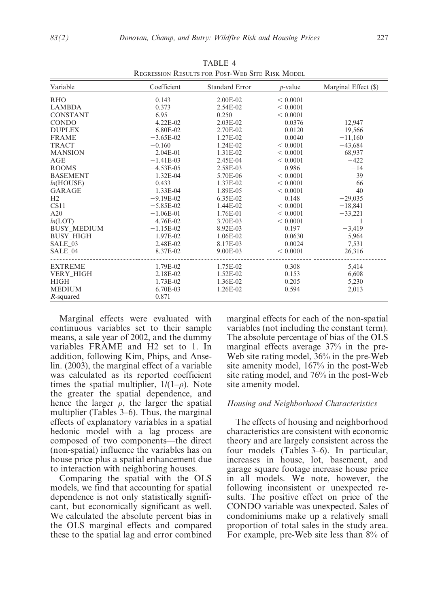|                    |              | <b>REGRESSION RESULTS FOR POST-WEB SITE RISK MIODEL</b> |              |                      |
|--------------------|--------------|---------------------------------------------------------|--------------|----------------------|
| Variable           | Coefficient  | <b>Standard Error</b>                                   | $p$ -value   | Marginal Effect (\$) |
| <b>RHO</b>         | 0.143        | 2.00E-02                                                | ${}< 0.0001$ |                      |
| <b>LAMBDA</b>      | 0.373        | 2.54E-02                                                | ${}< 0.0001$ |                      |
| <b>CONSTANT</b>    | 6.95         | 0.250                                                   | ${}< 0.0001$ |                      |
| CONDO              | 4.22E-02     | 2.03E-02                                                | 0.0376       | 12.947               |
| <b>DUPLEX</b>      | $-6.80E-02$  | 2.70E-02                                                | 0.0120       | $-19,566$            |
| <b>FRAME</b>       | $-3.65E-02$  | 1.27E-02                                                | 0.0040       | $-11,160$            |
| TRACT              | $-0.160$     | 1.24E-02                                                | ${}< 0.0001$ | $-43,684$            |
| MANSION            | $2.04E - 01$ | 1.31E-02                                                | < 0.0001     | 68,937               |
| AGE                | $-1.41E-03$  | 2.45E-04                                                | < 0.0001     | $-422$               |
| <b>ROOMS</b>       | $-4.53E-05$  | 2.58E-03                                                | 0.986        | $-14$                |
| <b>BASEMENT</b>    | 1.32E-04     | 5.70E-06                                                | ${}< 0.0001$ | 39                   |
| ln(HOUSE)          | 0.433        | 1.37E-02                                                | ${}< 0.0001$ | 66                   |
| GARAGE             | 1.33E-04     | 1.89E-05                                                | ${}< 0.0001$ | 40                   |
| H2                 | $-9.19E-02$  | 6.35E-02                                                | 0.148        | $-29,035$            |
| CS11               | $-5.85E-02$  | 1.44E-02                                                | ${}< 0.0001$ | $-18,841$            |
| A20                | $-1.06E-01$  | 1.76E-01                                                | ${}< 0.0001$ | $-33,221$            |
| ln(LOT)            | 4.76E-02     | 3.70E-03                                                | ${}< 0.0001$ |                      |
| <b>BUSY_MEDIUM</b> | $-1.15E-02$  | 8.92E-03                                                | 0.197        | $-3,419$             |
| BUSY_HIGH          | 1.97E-02     | 1.06E-02                                                | 0.0630       | 5,964                |
| SALE 03            | 2.48E-02     | 8.17E-03                                                | 0.0024       | 7,531                |
| SALE 04            | 8.37E-02     | 9.00E-03                                                | ${}< 0.0001$ | 26,316               |
| <b>EXTREME</b>     | 1.79E-02     | 1.75E-02                                                | 0.308        | 5,414                |
| <b>VERY HIGH</b>   | 2.18E-02     | 1.52E-02                                                | 0.153        | 6,608                |
| HIGH               | 1.73E-02     | 1.36E-02                                                | 0.205        | 5,230                |
| <b>MEDIUM</b>      | 6.70E-03     | 1.26E-02                                                | 0.594        | 2,013                |
| R-squared          | 0.871        |                                                         |              |                      |

TABLE 4 E FOR DOST WER SITE DISK MODEL

Marginal effects were evaluated with continuous variables set to their sample means, a sale year of 2002, and the dummy variables FRAME and H<sub>2</sub> set to 1. In addition, following Kim, Phips, and Anselin. (2003), the marginal effect of a variable was calculated as its reported coefficient times the spatial multiplier,  $1/(1-\rho)$ . Note the greater the spatial dependence, and hence the larger  $\rho$ , the larger the spatial multiplier (Tables 3–6). Thus, the marginal effects of explanatory variables in a spatial hedonic model with a lag process are composed of two components—the direct (non-spatial) influence the variables has on house price plus a spatial enhancement due to interaction with neighboring houses.

Comparing the spatial with the OLS models, we find that accounting for spatial dependence is not only statistically significant, but economically significant as well. We calculated the absolute percent bias in the OLS marginal effects and compared these to the spatial lag and error combined marginal effects for each of the non-spatial variables (not including the constant term). The absolute percentage of bias of the OLS marginal effects average 37% in the pre-Web site rating model,  $36\%$  in the pre-Web site amenity model, 167% in the post-Web site rating model, and 76% in the post-Web site amenity model.

### Housing and Neighborhood Characteristics

The effects of housing and neighborhood characteristics are consistent with economic theory and are largely consistent across the four models (Tables 3–6). In particular, increases in house, lot, basement, and garage square footage increase house price in all models. We note, however, the following inconsistent or unexpected results. The positive effect on price of the CONDO variable was unexpected. Sales of condominiums make up a relatively small proportion of total sales in the study area. For example, pre-Web site less than 8% of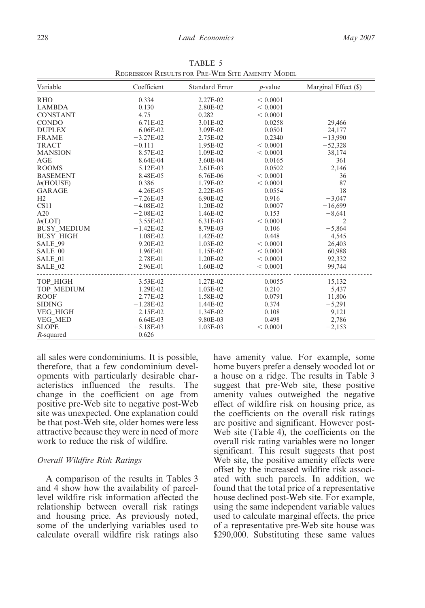|                    |             | <b>REGRESSION RESULTS FOR PRE-WEB SITE AMENITY MODEL</b> |            |                      |
|--------------------|-------------|----------------------------------------------------------|------------|----------------------|
| Variable           | Coefficient | <b>Standard Error</b>                                    | $p$ -value | Marginal Effect (\$) |
| <b>RHO</b>         | 0.334       | 2.27E-02                                                 | < 0.0001   |                      |
| <b>LAMBDA</b>      | 0.130       | 2.80E-02                                                 | < 0.0001   |                      |
| <b>CONSTANT</b>    | 4.75        | 0.282                                                    | < 0.0001   |                      |
| <b>CONDO</b>       | 6.71E-02    | 3.01E-02                                                 | 0.0258     | 29,466               |
| <b>DUPLEX</b>      | $-6.06E-02$ | 3.09E-02                                                 | 0.0501     | $-24,177$            |
| <b>FRAME</b>       | $-3.27E-02$ | 2.75E-02                                                 | 0.2340     | $-13,990$            |
| <b>TRACT</b>       | $-0.111$    | 1.95E-02                                                 | < 0.0001   | $-52,328$            |
| <b>MANSION</b>     | 8.57E-02    | 1.09E-02                                                 | < 0.0001   | 38,174               |
| AGE                | 8.64E-04    | 3.60E-04                                                 | 0.0165     | 361                  |
| <b>ROOMS</b>       | 5.12E-03    | 2.61E-03                                                 | 0.0502     | 2,146                |
| <b>BASEMENT</b>    | 8.48E-05    | 6.76E-06                                                 | < 0.0001   | 36                   |
| ln(HOUSE)          | 0.386       | 1.79E-02                                                 | < 0.0001   | 87                   |
| <b>GARAGE</b>      | 4.26E-05    | 2.22E-05                                                 | 0.0554     | 18                   |
| H <sub>2</sub>     | $-7.26E-03$ | 6.90E-02                                                 | 0.916      | $-3,047$             |
| CS11               | $-4.08E-02$ | 1.20E-02                                                 | 0.0007     | $-16,699$            |
| A20                | $-2.08E-02$ | 1.46E-02                                                 | 0.153      | $-8,641$             |
| ln(LOT)            | 3.55E-02    | 6.31E-03                                                 | < 0.0001   | $\overline{c}$       |
| <b>BUSY_MEDIUM</b> | $-1.42E-02$ | 8.79E-03                                                 | 0.106      | $-5,864$             |
| <b>BUSY_HIGH</b>   | 1.08E-02    | 1.42E-02                                                 | 0.448      | 4,545                |
| SALE 99            | 9.20E-02    | 1.03E-02                                                 | < 0.0001   | 26,403               |
| SALE 00            | 1.96E-01    | 1.15E-02                                                 | < 0.0001   | 60,988               |
| SALE 01            | 2.78E-01    | 1.20E-02                                                 | < 0.0001   | 92,332               |
| SALE 02            | 2.96E-01    | 1.60E-02                                                 | < 0.0001   | 99,744               |
| <b>TOP HIGH</b>    | 3.53E-02    | 1.27E-02                                                 | 0.0055     | 15,132               |
| <b>TOP MEDIUM</b>  | 1.29E-02    | 1.03E-02                                                 | 0.210      | 5,437                |
| <b>ROOF</b>        | 2.77E-02    | 1.58E-02                                                 | 0.0791     | 11,806               |
| <b>SIDING</b>      | $-1.28E-02$ | 1.44E-02                                                 | 0.374      | $-5,291$             |
| <b>VEG HIGH</b>    | 2.15E-02    | 1.34E-02                                                 | 0.108      | 9,121                |
| <b>VEG MED</b>     | 6.64E-03    | 9.80E-03                                                 | 0.498      | 2,786                |
| <b>SLOPE</b>       | $-5.18E-03$ | $1.03E-03$                                               | < 0.0001   | $-2,153$             |
| $R$ -squared       | 0.626       |                                                          |            |                      |

TABLE 5 **O FOR DRE WED STEE AMENITY MODEL**  $D_{\text{EOP}}$ 

all sales were condominiums. It is possible, therefore, that a few condominium developments with particularly desirable characteristics influenced the results. The change in the coefficient on age from positive pre-Web site to negative post-Web site was unexpected. One explanation could be that post-Web site, older homes were less attractive because they were in need of more work to reduce the risk of wildfire.

### Overall Wildfire Risk Ratings

A comparison of the results in Tables 3 and 4 show how the availability of parcellevel wildfire risk information affected the relationship between overall risk ratings and housing price. As previously noted, some of the underlying variables used to calculate overall wildfire risk ratings also have amenity value. For example, some home buyers prefer a densely wooded lot or a house on a ridge. The results in Table 3 suggest that pre-Web site, these positive amenity values outweighed the negative effect of wildfire risk on housing price, as the coefficients on the overall risk ratings are positive and significant. However post-Web site (Table 4), the coefficients on the overall risk rating variables were no longer significant. This result suggests that post Web site, the positive amenity effects were offset by the increased wildfire risk associated with such parcels. In addition, we found that the total price of a representative house declined post-Web site. For example, using the same independent variable values used to calculate marginal effects, the price of a representative pre-Web site house was \$290,000. Substituting these same values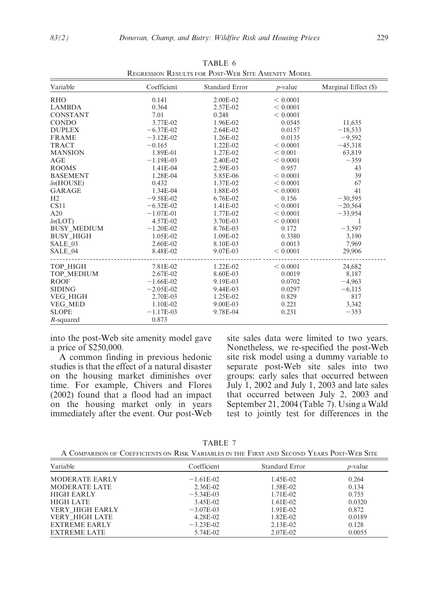|                    |             | INEQUESSION INESUETS FOR T OST- WEB SITE TIMENTI T INTODEE |            |                      |
|--------------------|-------------|------------------------------------------------------------|------------|----------------------|
| Variable           | Coefficient | <b>Standard Error</b>                                      | $p$ -value | Marginal Effect (\$) |
| <b>RHO</b>         | 0.141       | 2.00E-02                                                   | < 0.0001   |                      |
| <b>LAMBDA</b>      | 0.364       | 2.57E-02                                                   | < 0.0001   |                      |
| <b>CONSTANT</b>    | 7.01        | 0.248                                                      | < 0.0001   |                      |
| <b>CONDO</b>       | 3.77E-02    | 1.96E-02                                                   | 0.0545     | 11,635               |
| <b>DUPLEX</b>      | $-6.37E-02$ | 2.64E-02                                                   | 0.0157     | $-18,533$            |
| <b>FRAME</b>       | $-3.12E-02$ | 1.26E-02                                                   | 0.0135     | $-9,592$             |
| <b>TRACT</b>       | $-0.165$    | 1.22E-02                                                   | < 0.0001   | $-45,318$            |
| <b>MANSION</b>     | 1.89E-01    | 1.27E-02                                                   | < 0.001    | 63,819               |
| AGE                | $-1.19E-03$ | 2.40E-02                                                   | < 0.0001   | $-359$               |
| <b>ROOMS</b>       | 1.41E-04    | 2.59E-03                                                   | 0.957      | 43                   |
| <b>BASEMENT</b>    | 1.28E-04    | 5.85E-06                                                   | < 0.0001   | 39                   |
| ln(HOUSE)          | 0.432       | 1.37E-02                                                   | < 0.0001   | 67                   |
| <b>GARAGE</b>      | 1.34E-04    | 1.88E-05                                                   | < 0.0001   | 41                   |
| H <sub>2</sub>     | $-9.58E-02$ | 6.76E-02                                                   | 0.156      | $-30,595$            |
| CS11               | $-6.32E-02$ | 1.41E-02                                                   | < 0.0001   | $-20,564$            |
| A20                | $-1.07E-01$ | 1.77E-02                                                   | < 0.0001   | $-33,954$            |
| ln(LOT)            | 4.57E-02    | 3.70E-03                                                   | < 0.0001   | 1                    |
| <b>BUSY MEDIUM</b> | $-1.20E-02$ | 8.76E-03                                                   | 0.172      | $-3,597$             |
| <b>BUSY_HIGH</b>   | 1.05E-02    | 1.09E-02                                                   | 0.3380     | 3,190                |
| SALE 03            | $2.60E-02$  | 8.10E-03                                                   | 0.0013     | 7,969                |
| SALE 04            | 8.48E-02    | 9.07E-03                                                   | < 0.0001   | 29,906               |
| <b>TOP HIGH</b>    | 7.81E-02    | 1.22E-02                                                   | < 0.0001   | 24,682               |
| <b>TOP MEDIUM</b>  | 2.67E-02    | 8.60E-03                                                   | 0.0019     | 8,187                |
| <b>ROOF</b>        | $-1.66E-02$ | 9.19E-03                                                   | 0.0702     | $-4,963$             |
| <b>SIDING</b>      | $-2.05E-02$ | 9.44E-03                                                   | 0.0297     | $-6,115$             |
| <b>VEG HIGH</b>    | 2.70E-03    | 1.25E-02                                                   | 0.829      | 817                  |
| <b>VEG_MED</b>     | 1.10E-02    | 9.00E-03                                                   | 0.221      | 3,342                |
| <b>SLOPE</b>       | $-1.17E-03$ | 9.78E-04                                                   | 0.231      | $-353$               |
| $R$ -squared       | 0.873       |                                                            |            |                      |

TABLE 6 RECRESSION RESULTS FOR POST-WER SITE AMENITY MODEL

into the post-Web site amenity model gave a price of \$250,000.

A common finding in previous hedonic studies is that the effect of a natural disaster on the housing market diminishes over time. For example, Chivers and Flores  $(2002)$  found that a flood had an impact on the housing market only in years immediately after the event. Our post-Web

site sales data were limited to two years. Nonetheless, we re-specified the post-Web site risk model using a dummy variable to separate post-Web site sales into two groups: early sales that occurred between July 1, 2002 and July 1, 2003 and late sales that occurred between July 2, 2003 and September 21, 2004 (Table 7). Using a Wald test to jointly test for differences in the

|--|--|

A COMPARISON OF COEFFICIENTS ON RISK VARIABLES IN THE FIRST AND SECOND YEARS POST-WEB SITE

| Variable               | Coefficient | Standard Error | <i>p</i> -value |
|------------------------|-------------|----------------|-----------------|
| MODERATE EARLY         | $-1.61E-02$ | 1.45E-02       | 0.264           |
| <b>MODERATE LATE</b>   | $2.36E-02$  | 1.58E-02       | 0.134           |
| <b>HIGH EARLY</b>      | $-5.34E-03$ | $1.71E-02$     | 0.755           |
| <b>HIGH LATE</b>       | 3.45E-02    | $1.61E-02$     | 0.0320          |
| <b>VERY HIGH EARLY</b> | $-3.07E-03$ | $1.91E-02$     | 0.872           |
| <b>VERY HIGH LATE</b>  | 4.28E-02    | 1.82E-02       | 0.0189          |
| <b>EXTREME EARLY</b>   | $-3.23E-02$ | $2.13E-02$     | 0.128           |
| <b>EXTREME LATE</b>    | 5.74E-02    | $2.07E - 02$   | 0.0055          |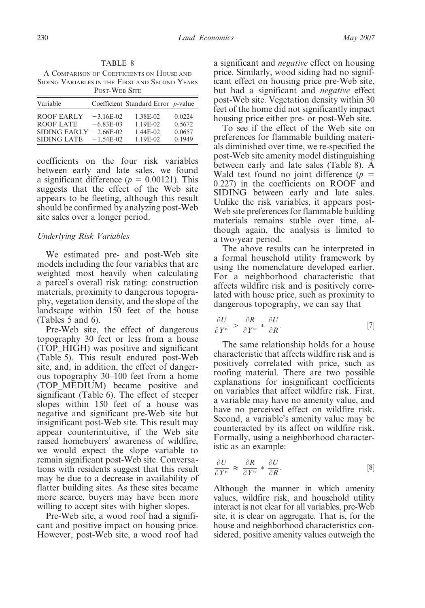A COMPARISON OF COEFFICIENTS ON HOUSE AND SIDING VARIABLES IN THE FIRST AND SECOND YEARS **POST-WER SITE** 

TABLE 8

| Variable           |             | Coefficient Standard Error p-value |        |
|--------------------|-------------|------------------------------------|--------|
| <b>ROOF EARLY</b>  | $-3.16E-02$ | 1.38E-02                           | 0.0224 |
| <b>ROOF LATE</b>   | $-6.83E-03$ | 1.19E-02                           | 0.5672 |
| SIDING EARLY       | $-2.66E-02$ | $1.44E-02$                         | 0.0657 |
| <b>SIDING LATE</b> | $-1.54E-02$ | 1.19E-02                           | 0.1949 |

coefficients on the four risk variables between early and late sales, we found a significant difference ( $p = 0.00121$ ). This suggests that the effect of the Web site appears to be fleeting, although this result should be confirmed by analyzing post-Web site sales over a longer period.

### **Underlying Risk Variables**

We estimated pre- and post-Web site models including the four variables that are weighted most heavily when calculating a parcel's overall risk rating: construction materials, proximity to dangerous topography, vegetation density, and the slope of the landscape within 150 feet of the house  $(Tables 5 and 6)$ .

Pre-Web site, the effect of dangerous topography 30 feet or less from a house (TOP HIGH) was positive and significant (Table 5). This result endured post-Web site, and, in addition, the effect of dangerous topography 30–100 feet from a home (TOP\_MEDIUM) became positive and significant (Table 6). The effect of steeper slopes within 150 feet of a house was negative and significant pre-Web site but insignificant post-Web site. This result may appear counterintuitive, if the Web site raised homebuyers' awareness of wildfire, we would expect the slope variable to remain significant post-Web site. Conversations with residents suggest that this result may be due to a decrease in availability of flatter building sites. As these sites became more scarce, buyers may have been more willing to accept sites with higher slopes.

Pre-Web site, a wood roof had a significant and positive impact on housing price. However, post-Web site, a wood roof had

a significant and *negative* effect on housing price. Similarly, wood siding had no significant effect on housing price pre-Web site. but had a significant and *negative* effect post-Web site. Vegetation density within 30 feet of the home did not significantly impact housing price either pre- or post-Web site.

To see if the effect of the Web site on preferences for flammable building materials diminished over time, we re-specified the post-Web site amenity model distinguishing between early and late sales (Table 8). A Wald test found no joint difference  $(p =$ 0.227) in the coefficients on ROOF and SIDING between early and late sales. Unlike the risk variables, it appears post-Web site preferences for flammable building materials remains stable over time, although again, the analysis is limited to a two-year period.

The above results can be interpreted in a formal household utility framework by using the nomenclature developed earlier. For a neighborhood characteristic that affects wildfire risk and is positively correlated with house price, such as proximity to dangerous topography, we can say that

$$
\frac{\partial U}{\partial Y^w} > \frac{\partial R}{\partial Y^w} * \frac{\partial U}{\partial R}.
$$
 [7]

The same relationship holds for a house characteristic that affects wildfire risk and is positively correlated with price, such as roofing material. There are two possible explanations for insignificant coefficients on variables that affect wildfire risk. First, a variable may have no amenity value, and have no perceived effect on wildfire risk. Second, a variable's amenity value may be counteracted by its affect on wildfire risk. Formally, using a neighborhood characteristic as an example:

$$
\frac{\partial U}{\partial Y^w} \approx \frac{\partial R}{\partial Y^w} * \frac{\partial U}{\partial R}.
$$
 [8]

Although the manner in which amenity values, wildfire risk, and household utility interact is not clear for all variables, pre-Web site, it is clear on aggregate. That is, for the house and neighborhood characteristics considered, positive amenity values outweigh the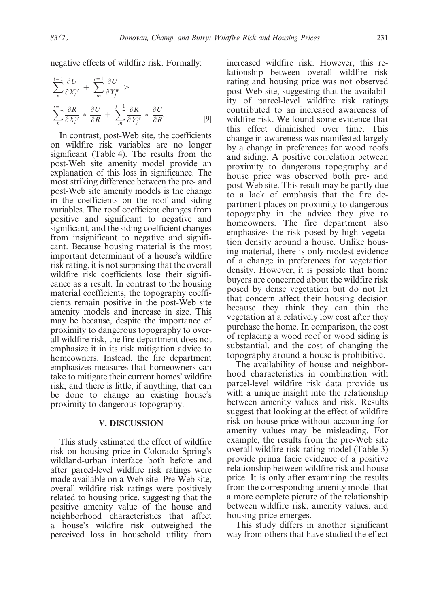$83(2)$ 

negative effects of wildfire risk. Formally:

$$
\sum_{n}^{i=1} \frac{\partial U}{\partial X_{i}^{w}} + \sum_{m}^{j=1} \frac{\partial U}{\partial Y_{j}^{w}} > \sum_{n}^{i=1} \frac{\partial R}{\partial X_{i}^{w}} * \frac{\partial U}{\partial R} + \sum_{m}^{j=1} \frac{\partial R}{\partial Y_{j}^{w}} * \frac{\partial U}{\partial R}.
$$
 [9]

In contrast, post-Web site, the coefficients on wildfire risk variables are no longer significant (Table 4). The results from the post-Web site amenity model provide an explanation of this loss in significance. The most striking difference between the pre- and post-Web site amenity models is the change in the coefficients on the roof and siding variables. The roof coefficient changes from positive and significant to negative and significant, and the siding coefficient changes from insignificant to negative and significant. Because housing material is the most important determinant of a house's wildfire risk rating, it is not surprising that the overall wildfire risk coefficients lose their significance as a result. In contrast to the housing material coefficients, the topography coefficients remain positive in the post-Web site amenity models and increase in size. This may be because, despite the importance of proximity to dangerous topography to overall wildfire risk, the fire department does not emphasize it in its risk mitigation advice to homeowners. Instead, the fire department emphasizes measures that homeowners can take to mitigate their current homes' wildfire risk, and there is little, if anything, that can be done to change an existing house's proximity to dangerous topography.

### **V. DISCUSSION**

This study estimated the effect of wildfire. risk on housing price in Colorado Spring's wildland-urban interface both before and after parcel-level wildfire risk ratings were made available on a Web site. Pre-Web site, overall wildfire risk ratings were positively related to housing price, suggesting that the positive amenity value of the house and neighborhood characteristics that affect a house's wildfire risk outweighed the perceived loss in household utility from

increased wildfire risk. However, this relationship between overall wildfire risk rating and housing price was not observed post-Web site, suggesting that the availability of parcel-level wildfire risk ratings contributed to an increased awareness of wildfire risk. We found some evidence that this effect diminished over time. This change in awareness was manifested largely by a change in preferences for wood roofs and siding. A positive correlation between proximity to dangerous topography and house price was observed both pre- and post-Web site. This result may be partly due to a lack of emphasis that the fire department places on proximity to dangerous topography in the advice they give to homeowners. The fire department also emphasizes the risk posed by high vegetation density around a house. Unlike housing material, there is only modest evidence of a change in preferences for vegetation density. However, it is possible that home buyers are concerned about the wildfire risk posed by dense vegetation but do not let that concern affect their housing decision because they think they can thin the vegetation at a relatively low cost after they purchase the home. In comparison, the cost of replacing a wood roof or wood siding is substantial, and the cost of changing the topography around a house is prohibitive.

The availability of house and neighborhood characteristics in combination with parcel-level wildfire risk data provide us with a unique insight into the relationship between amenity values and risk. Results suggest that looking at the effect of wildfire risk on house price without accounting for amenity values may be misleading. For example, the results from the pre-Web site overall wildfire risk rating model (Table 3) provide prima facie evidence of a positive relationship between wildfire risk and house price. It is only after examining the results from the corresponding amenity model that a more complete picture of the relationship between wildfire risk, amenity values, and housing price emerges.

This study differs in another significant way from others that have studied the effect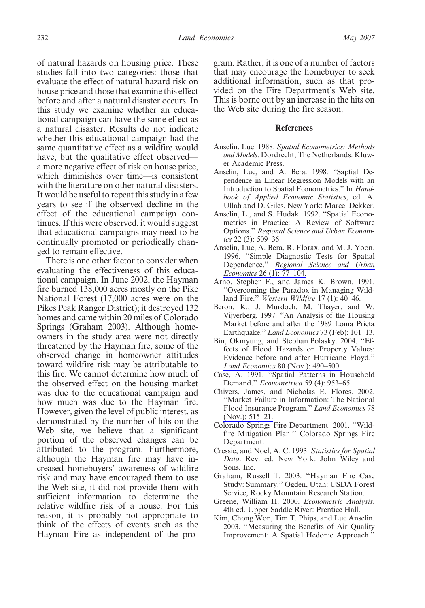of natural hazards on housing price. These studies fall into two categories: those that evaluate the effect of natural hazard risk on house price and those that examine this effect before and after a natural disaster occurs. In this study we examine whether an educational campaign can have the same effect as a natural disaster. Results do not indicate whether this educational campaign had the same quantitative effect as a wildfire would have, but the qualitative effect observed a more negative effect of risk on house price, which diminishes over time—is consistent with the literature on other natural disasters. It would be useful to repeat this study in a few years to see if the observed decline in the effect of the educational campaign continues. If this were observed, it would suggest that educational campaigns may need to be continually promoted or periodically changed to remain effective.

There is one other factor to consider when evaluating the effectiveness of this educational campaign. In June 2002, the Hayman fire burned 138,000 acres mostly on the Pike National Forest (17,000 acres were on the Pikes Peak Ranger District); it destroyed 132 homes and came within 20 miles of Colorado Springs (Graham 2003). Although homeowners in the study area were not directly threatened by the Hayman fire, some of the observed change in homeowner attitudes toward wildfire risk may be attributable to this fire. We cannot determine how much of the observed effect on the housing market was due to the educational campaign and how much was due to the Hayman fire. However, given the level of public interest, as demonstrated by the number of hits on the Web site, we believe that a significant portion of the observed changes can be attributed to the program. Furthermore, although the Hayman fire may have increased homebuyers' awareness of wildfire risk and may have encouraged them to use the Web site, it did not provide them with sufficient information to determine the relative wildfire risk of a house. For this reason, it is probably not appropriate to think of the effects of events such as the Hayman Fire as independent of the pro-

gram. Rather, it is one of a number of factors that may encourage the homebuyer to seek additional information, such as that provided on the Fire Department's Web site. This is borne out by an increase in the hits on the Web site during the fire season.

#### **References**

- Anselin, Luc. 1988. Spatial Econometrics: Methods and Models. Dordrecht. The Netherlands: Kluwer Academic Press.
- Anselin, Luc, and A. Bera. 1998. "Saptial Dependence in Linear Regression Models with an Introduction to Spatial Econometrics." In *Hand*book of Applied Economic Statistics, ed. A. Ullah and D. Giles. New York: Marcel Dekker.
- Anselin, L., and S. Hudak. 1992. "Spatial Econometrics in Practice: A Review of Software Options." Regional Science and Urban Economics 22 (3): 509-36.
- Anselin, Luc, A. Bera, R. Florax, and M. J. Yoon. 1996. "Simple Diagnostic Tests for Spatial Dependence." Regional Science and Urban *Economics* 26  $(1)$ : 77-104.
- Arno, Stephen F., and James K. Brown. 1991. "Overcoming the Paradox in Managing Wildland Fire." Western Wildfire 17  $(1)$ : 40–46.
- Beron, K., J. Murdoch, M. Thaver, and W. Vijverberg. 1997. "An Analysis of the Housing Market before and after the 1989 Loma Prieta Earthquake." Land Economics 73 (Feb): 101-13.
- Bin, Okmyung, and Stephan Polasky. 2004. "Effects of Flood Hazards on Property Values: Evidence before and after Hurricane Floyd." Land Economics 80 (Nov.): 490-500.
- Case, A. 1991. "Spatial Patterns in Household Demand." Econometrica 59 (4): 953-65.
- Chivers, James, and Nicholas E. Flores. 2002. "Market Failure in Information: The National Flood Insurance Program." Land Economics 78 (Nov.):  $515-21$ .
- Colorado Springs Fire Department. 2001. "Wildfire Mitigation Plan." Colorado Springs Fire Department.
- Cressie, and Noel, A. C. 1993. Statistics for Spatial Data. Rev. ed. New York: John Wiley and Sons, Inc.
- Graham, Russell T. 2003. "Hayman Fire Case Study: Summary." Ogden, Utah: USDA Forest Service, Rocky Mountain Research Station.
- Greene, William H. 2000. Econometric Analysis. 4th ed. Upper Saddle River: Prentice Hall.
- Kim, Chong Won, Tim T. Phips, and Luc Anselin. 2003. "Measuring the Benefits of Air Quality Improvement: A Spatial Hedonic Approach."